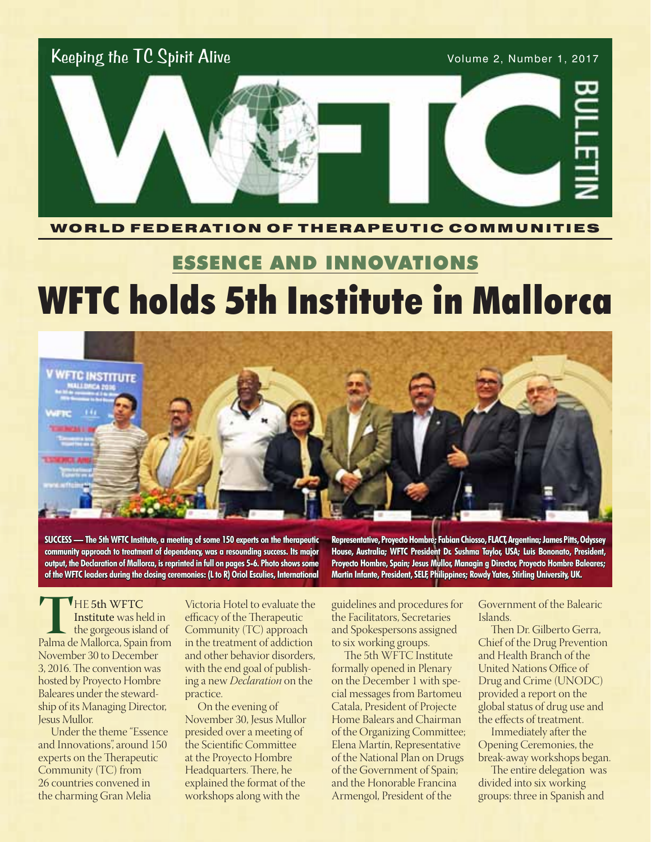

#### WORLD FEDERATION OF THERAPEUTIC COMMUNITIES

# ESSENCE AND INNOVATIONS WFTC holds 5th Institute in Mallorca



**SUCCESS — The 5th WFTC Institute, a meeting of some 150 experts on the therapeutic community approach to treatment of dependency, was a resounding success. Its major output, the Declaration of Mallorca, is reprinted in full on pages 5-6. Photo shows some of the WFTC leaders during the closing ceremonies: (L to R) Oriol Esculies, International** 

**Representative, Proyecto Hombre; Fabian Chiosso, FLACT, Argentina; James Pitts, Odyssey House, Australia; WFTC President Dr. Sushma Taylor, USA; Luis Bononato, President, Proyecto Hombre, Spain; Jesus Mullor, Managin g Director, Proyecto Hombre Baleares; Martin Infante, President, SELF, Philippines; Rowdy Yates, Stirling University, UK.**

**THE 5th WFTC**<br> **Institute** was held in<br>
the gorgeous island of<br>
Palma de Mallorca, Spain from Institute was held in the gorgeous island of November 30 to December 3, 2016. The convention was hosted by Proyecto Hombre Baleares under the stewardship of its Managing Director, Jesus Mullor.

Under the theme "Essence and Innovations", around 150 experts on the Therapeutic Community (TC) from 26 countries convened in the charming Gran Melia

Victoria Hotel to evaluate the efficacy of the Therapeutic Community (TC) approach in the treatment of addiction and other behavior disorders, with the end goal of publishing a new *Declaration* on the practice.

On the evening of November 30, Jesus Mullor presided over a meeting of the Scientific Committee at the Proyecto Hombre Headquarters. There, he explained the format of the workshops along with the

guidelines and procedures for the Facilitators, Secretaries and Spokespersons assigned to six working groups.

The 5th WFTC Institute formally opened in Plenary on the December 1 with special messages from Bartomeu Catala, President of Projecte Home Balears and Chairman of the Organizing Committee; Elena Martín, Representative of the National Plan on Drugs of the Government of Spain; and the Honorable Francina Armengol, President of the

Government of the Balearic Islands.

Then Dr. Gilberto Gerra, Chief of the Drug Prevention and Health Branch of the United Nations Office of Drug and Crime (UNODC) provided a report on the global status of drug use and the effects of treatment.

Immediately after the Opening Ceremonies, the break-away workshops began.

The entire delegation was divided into six working groups: three in Spanish and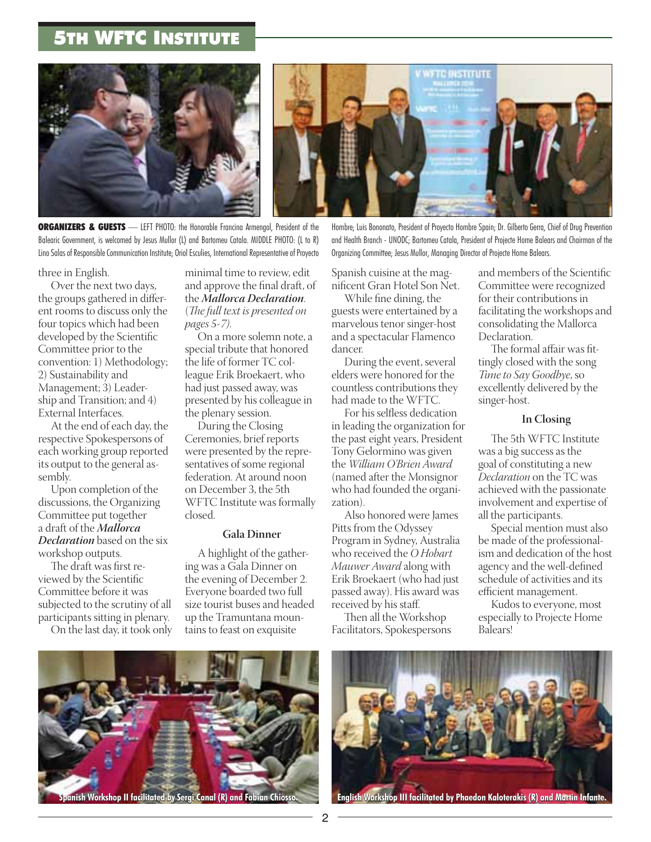## 5th WFTC Institute





**ORGANIZERS & GUESTS** — LEFT PHOTO: the Honorable Francina Armengol, President of the Balearic Government, is welcomed by Jesus Mullor (L) and Bartomeu Catala. MIDDLE PHOTO: (L to R) Lino Salas of Responsible Communication Institute; Oriol Esculies, International Representative of Proyecto

three in English.

Over the next two days, the groups gathered in different rooms to discuss only the four topics which had been developed by the Scientific Committee prior to the convention: 1) Methodology; 2) Sustainability and Management; 3) Leadership and Transition; and 4) External Interfaces.

At the end of each day, the respective Spokespersons of each working group reported its output to the general assembly.

Upon completion of the discussions, the Organizing Committee put together a draft of the *Mallorca Declaration* based on the six workshop outputs.

The draft was first reviewed by the Scientific Committee before it was subjected to the scrutiny of all participants sitting in plenary.

On the last day, it took only

minimal time to review, edit and approve the final draft, of the *Mallorca Declaration*. (*The full text is presented on pages 5-7)*.

On a more solemn note, a special tribute that honored the life of former TC colleague Erik Broekaert, who had just passed away, was presented by his colleague in the plenary session.

During the Closing Ceremonies, brief reports were presented by the representatives of some regional federation. At around noon on December 3, the 5th WFTC Institute was formally closed.

#### **Gala Dinner**

A highlight of the gathering was a Gala Dinner on the evening of December 2. Everyone boarded two full size tourist buses and headed up the Tramuntana mountains to feast on exquisite

Hombre; Luis Bononato, President of Proyecto Hombre Spain; Dr. Gilberto Gerra, Chief of Drug Prevention and Health Branch - UNODC; Bartomeu Catala, President of Projecte Home Balears and Chairman of the Organizing Committee; Jesus Mullor, Managing Director of Projecte Home Balears.

Spanish cuisine at the magnificent Gran Hotel Son Net.

While fine dining, the guests were entertained by a marvelous tenor singer-host and a spectacular Flamenco dancer.

During the event, several elders were honored for the countless contributions they had made to the WFTC.

For his selfless dedication in leading the organization for the past eight years, President Tony Gelormino was given the *William O'Brien Award*  (named after the Monsignor who had founded the organization).

Also honored were James Pitts from the Odyssey Program in Sydney, Australia who received the *O Hobart Mauwer Award* along with Erik Broekaert (who had just passed away). His award was received by his staff.

Then all the Workshop Facilitators, Spokespersons and members of the Scientific Committee were recognized for their contributions in facilitating the workshops and consolidating the Mallorca Declaration.

The formal affair was fittingly closed with the song *Time to Say Goodbye*, so excellently delivered by the singer-host.

#### **In Closing**

The 5th WFTC Institute was a big success as the goal of constituting a new *Declaration* on the TC was achieved with the passionate involvement and expertise of all the participants.

Special mention must also be made of the professionalism and dedication of the host agency and the well-defined schedule of activities and its efficient management.

Kudos to everyone, most especially to Projecte Home Balears!



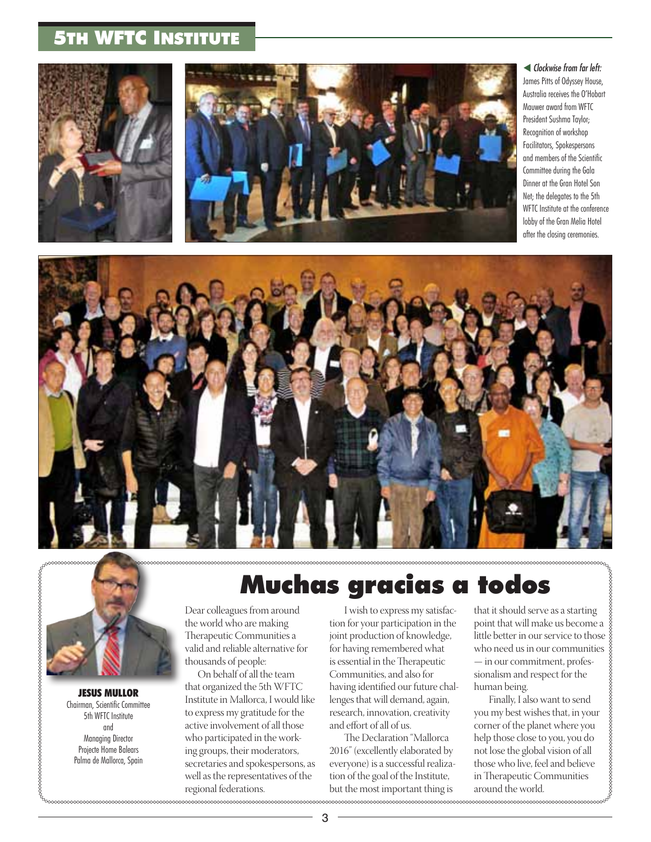## 5th WFTC Institute





 *Clockwise from far left:*  James Pitts of Odyssey House, Australia receives the O'Hobart Mauwer award from WFTC President Sushma Taylor; Recognition of workshop Facilitators, Spokespersons and members of the Scientific Committee during the Gala Dinner at the Gran Hotel Son Net; the delegates to the 5th WFTC Institute at the conference lobby of the Gran Melia Hotel after the closing ceremonies.





JESUS MULLOR Chairman, Scientific Committee 5th WFTC Institute and Managing Director Projecte Home Balears Palma de Mallorca, Spain

# Muchas gracias a todos

Dear colleagues from around the world who are making Therapeutic Communities a valid and reliable alternative for thousands of people:

On behalf of all the team that organized the 5th WFTC Institute in Mallorca, I would like to express my gratitude for the active involvement of all those who participated in the working groups, their moderators, secretaries and spokespersons, as well as the representatives of the regional federations.

 I wish to express my satisfaction for your participation in the joint production of knowledge, for having remembered what is essential in the Therapeutic Communities, and also for having identified our future challenges that will demand, again, research, innovation, creativity and effort of all of us.

 The Declaration "Mallorca 2016" (excellently elaborated by everyone) is a successful realization of the goal of the Institute, but the most important thing is

that it should serve as a starting point that will make us become a little better in our service to those who need us in our communities — in our commitment, professionalism and respect for the human being.

 Finally, I also want to send you my best wishes that, in your corner of the planet where you help those close to you, you do not lose the global vision of all those who live, feel and believe in Therapeutic Communities around the world.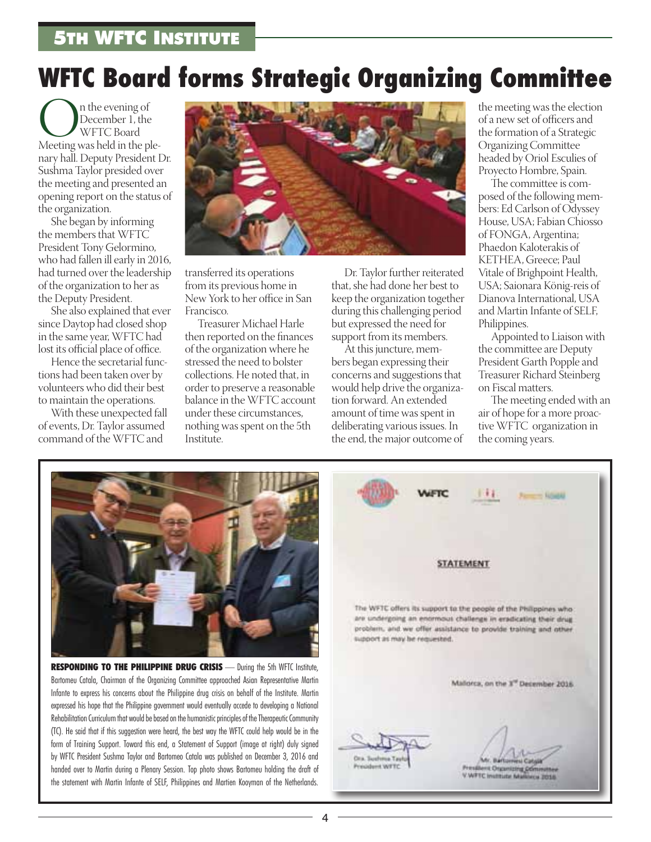# **WFTC Board forms Strategic Organizing Committee**

 $\begin{array}{c} \displaystyle\bigcap_{\text{December 1, the}} \displaystyle\bigcap_{\text{December 1, the}} \displaystyle\bigcap_{\text{WFTC Board}} \displaystyle\bigcap_{\text{New 2}} \displaystyle\bigcap_{\text{New 3}} \displaystyle\bigcap_{\text{New 4}} \displaystyle\bigcap_{\text{New 5}} \displaystyle\bigcap_{\text{New 6}} \displaystyle\bigcap_{\text{New 7}} \displaystyle\bigcap_{\text{New 8}} \displaystyle\bigcap_{\text{New 8}} \displaystyle\bigcap_{\text{New 9}} \displaystyle\bigcap_{\text{New 1}} \displaystyle\bigcap_{\text{New 1}} \displaystyle\bigcap_{\text{New 1$ December 1, the WFTC Board nary hall. Deputy President Dr. Sushma Taylor presided over the meeting and presented an opening report on the status of the organization.

She began by informing the members that WFTC President Tony Gelormino, who had fallen ill early in 2016, had turned over the leadership of the organization to her as the Deputy President.

She also explained that ever since Daytop had closed shop in the same year, WFTC had lost its official place of office.

Hence the secretarial functions had been taken over by volunteers who did their best to maintain the operations.

With these unexpected fall of events, Dr. Taylor assumed command of the WFTC and



transferred its operations from its previous home in New York to her office in San Francisco.

Treasurer Michael Harle then reported on the finances of the organization where he stressed the need to bolster collections. He noted that, in order to preserve a reasonable balance in the WFTC account under these circumstances, nothing was spent on the 5th Institute.

Dr. Taylor further reiterated that, she had done her best to keep the organization together during this challenging period but expressed the need for support from its members.

At this juncture, members began expressing their concerns and suggestions that would help drive the organization forward. An extended amount of time was spent in deliberating various issues. In the end, the major outcome of the meeting was the election of a new set of officers and the formation of a Strategic Organizing Committee headed by Oriol Esculies of Proyecto Hombre, Spain.

The committee is composed of the following members: Ed Carlson of Odyssey House, USA; Fabian Chiosso of FONGA, Argentina; Phaedon Kaloterakis of KETHEA, Greece; Paul Vitale of Brighpoint Health, USA; Saionara König-reis of Dianova International, USA and Martin Infante of SELF, Philippines.

Appointed to Liaison with the committee are Deputy President Garth Popple and Treasurer Richard Steinberg on Fiscal matters.

The meeting ended with an air of hope for a more proactive WFTC organization in the coming years.



RESPONDING TO THE PHILIPPINE DRUG CRISIS - During the 5th WFTC Institute, Bartomeu Catala, Chairman of the Organizing Committee approached Asian Representative Martin Infante to express his concerns about the Philippine drug crisis on behalf of the Institute. Martin expressed his hope that the Philippine government would eventually accede to developing a National Rehabilitation Curriculum that would be based on the humanistic principles of the Therapeutic Community (TC). He said that if this suggestion were heard, the best way the WFTC could help would be in the form of Training Support. Toward this end, a Statement of Support (image at right) duly signed by WFTC President Sushma Taylor and Bartomeo Catala was published on December 3, 2016 and handed over to Martin during a Plenary Session. Top photo shows Bartomeu holding the draft of the statement with Martin Infante of SELF, Philippines and Martien Kooyman of the Netherlands.

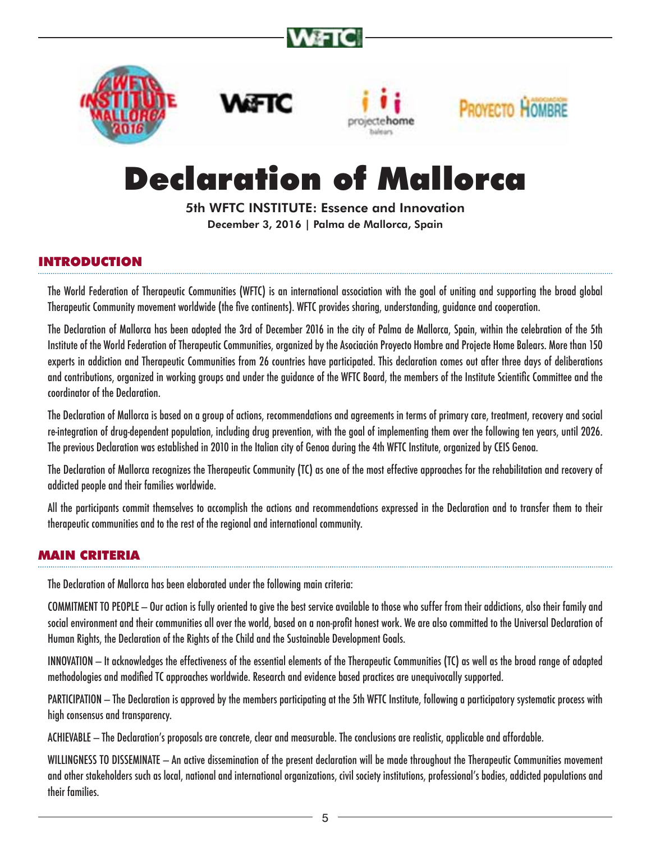









# Declaration of Mallorca

5th WFTC INSTITUTE: Essence and Innovation December 3, 2016 | Palma de Mallorca, Spain

## INTRODUCTION

The World Federation of Therapeutic Communities (WFTC) is an international association with the goal of uniting and supporting the broad global Therapeutic Community movement worldwide (the five continents). WFTC provides sharing, understanding, guidance and cooperation.

The Declaration of Mallorca has been adopted the 3rd of December 2016 in the city of Palma de Mallorca, Spain, within the celebration of the 5th Institute of the World Federation of Therapeutic Communities, organized by the Asociación Proyecto Hombre and Projecte Home Balears. More than 150 experts in addiction and Therapeutic Communities from 26 countries have participated. This declaration comes out after three days of deliberations and contributions, organized in working groups and under the guidance of the WFTC Board, the members of the Institute Scientific Committee and the coordinator of the Declaration.

The Declaration of Mallorca is based on a group of actions, recommendations and agreements in terms of primary care, treatment, recovery and social re-integration of drug-dependent population, including drug prevention, with the goal of implementing them over the following ten years, until 2026. The previous Declaration was established in 2010 in the Italian city of Genoa during the 4th WFTC Institute, organized by CEIS Genoa.

The Declaration of Mallorca recognizes the Therapeutic Community (TC) as one of the most effective approaches for the rehabilitation and recovery of addicted people and their families worldwide.

All the participants commit themselves to accomplish the actions and recommendations expressed in the Declaration and to transfer them to their therapeutic communities and to the rest of the regional and international community.

### MAIN CRITERIA

The Declaration of Mallorca has been elaborated under the following main criteria:

COMMITMENT TO PEOPLE — Our action is fully oriented to give the best service available to those who suffer from their addictions, also their family and social environment and their communities all over the world, based on a non-profit honest work. We are also committed to the Universal Declaration of Human Rights, the Declaration of the Rights of the Child and the Sustainable Development Goals.

INNOVATION — It acknowledges the effectiveness of the essential elements of the Therapeutic Communities (TC) as well as the broad range of adapted methodologies and modified TC approaches worldwide. Research and evidence based practices are unequivocally supported.

PARTICIPATION — The Declaration is approved by the members participating at the 5th WFTC Institute, following a participatory systematic process with high consensus and transparency.

ACHIEVABLE — The Declaration's proposals are concrete, clear and measurable. The conclusions are realistic, applicable and affordable.

WILLINGNESS TO DISSEMINATE — An active dissemination of the present declaration will be made throughout the Therapeutic Communities movement and other stakeholders such as local, national and international organizations, civil society institutions, professional's bodies, addicted populations and their families.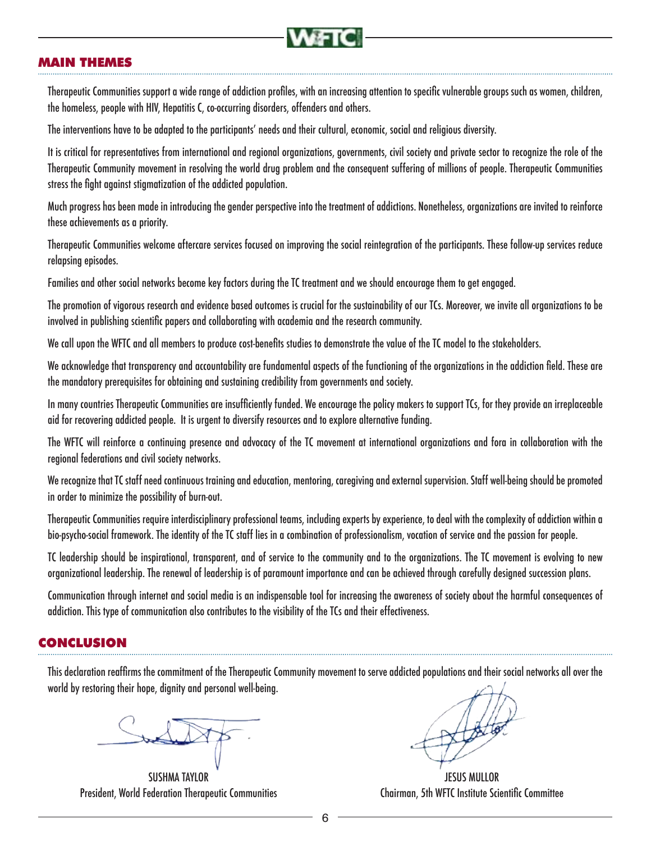

### MAIN THEMES

Therapeutic Communities support a wide range of addiction profiles, with an increasing attention to specific vulnerable groups such as women, children, the homeless, people with HIV, Hepatitis C, co-occurring disorders, offenders and others.

The interventions have to be adapted to the participants' needs and their cultural, economic, social and religious diversity.

It is critical for representatives from international and regional organizations, governments, civil society and private sector to recognize the role of the Therapeutic Community movement in resolving the world drug problem and the consequent suffering of millions of people. Therapeutic Communities stress the fight against stigmatization of the addicted population.

Much progress has been made in introducing the gender perspective into the treatment of addictions. Nonetheless, organizations are invited to reinforce these achievements as a priority.

Therapeutic Communities welcome aftercare services focused on improving the social reintegration of the participants. These follow-up services reduce relapsing episodes.

Families and other social networks become key factors during the TC treatment and we should encourage them to get engaged.

The promotion of vigorous research and evidence based outcomes is crucial for the sustainability of our TCs. Moreover, we invite all organizations to be involved in publishing scientific papers and collaborating with academia and the research community.

We call upon the WFTC and all members to produce cost-benefits studies to demonstrate the value of the TC model to the stakeholders.

We acknowledge that transparency and accountability are fundamental aspects of the functioning of the organizations in the addiction field. These are the mandatory prerequisites for obtaining and sustaining credibility from governments and society.

In many countries Therapeutic Communities are insufficiently funded. We encourage the policy makers to support TCs, for they provide an irreplaceable aid for recovering addicted people. It is urgent to diversify resources and to explore alternative funding.

The WFTC will reinforce a continuing presence and advocacy of the TC movement at international organizations and fora in collaboration with the regional federations and civil society networks.

We recognize that TC staff need continuous training and education, mentoring, caregiving and external supervision. Staff well-being should be promoted in order to minimize the possibility of burn-out.

Therapeutic Communities require interdisciplinary professional teams, including experts by experience, to deal with the complexity of addiction within a bio-psycho-social framework. The identity of the TC staff lies in a combination of professionalism, vocation of service and the passion for people.

TC leadership should be inspirational, transparent, and of service to the community and to the organizations. The TC movement is evolving to new organizational leadership. The renewal of leadership is of paramount importance and can be achieved through carefully designed succession plans.

Communication through internet and social media is an indispensable tool for increasing the awareness of society about the harmful consequences of addiction. This type of communication also contributes to the visibility of the TCs and their effectiveness.

#### CONCLUSION

This declaration reaffirms the commitment of the Therapeutic Community movement to serve addicted populations and their social networks all over the world by restoring their hope, dignity and personal well-being.

SUSHMA TAYLOR President, World Federation Therapeutic Communities

JESUS MULLOR Chairman, 5th WFTC Institute Scientific Committee